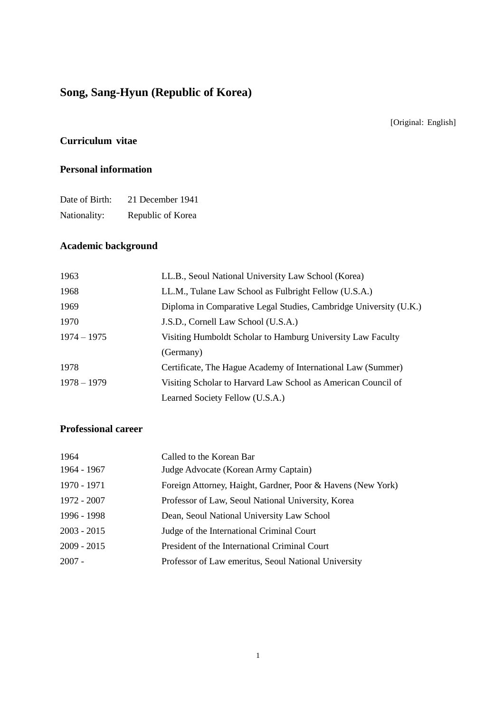# **Song, Sang-Hyun (Republic of Korea)**

[Original: English]

### **Curriculum vitae**

#### **Personal information**

| Date of Birth: | 21 December 1941  |
|----------------|-------------------|
| Nationality:   | Republic of Korea |

# **Academic background**

| 1963          | LL.B., Seoul National University Law School (Korea)               |
|---------------|-------------------------------------------------------------------|
| 1968          | LL.M., Tulane Law School as Fulbright Fellow (U.S.A.)             |
| 1969          | Diploma in Comparative Legal Studies, Cambridge University (U.K.) |
| 1970          | J.S.D., Cornell Law School (U.S.A.)                               |
| $1974 - 1975$ | Visiting Humboldt Scholar to Hamburg University Law Faculty       |
|               | (Germany)                                                         |
| 1978          | Certificate, The Hague Academy of International Law (Summer)      |
| $1978 - 1979$ | Visiting Scholar to Harvard Law School as American Council of     |
|               | Learned Society Fellow (U.S.A.)                                   |
|               |                                                                   |

## **Professional career**

| 1964 - 1967<br>Judge Advocate (Korean Army Captain)                        |  |
|----------------------------------------------------------------------------|--|
| 1970 - 1971<br>Foreign Attorney, Haight, Gardner, Poor & Havens (New York) |  |
| 1972 - 2007<br>Professor of Law, Seoul National University, Korea          |  |
| 1996 - 1998<br>Dean, Seoul National University Law School                  |  |
| $2003 - 2015$<br>Judge of the International Criminal Court                 |  |
| $2009 - 2015$<br>President of the International Criminal Court             |  |
| $2007 -$<br>Professor of Law emeritus, Seoul National University           |  |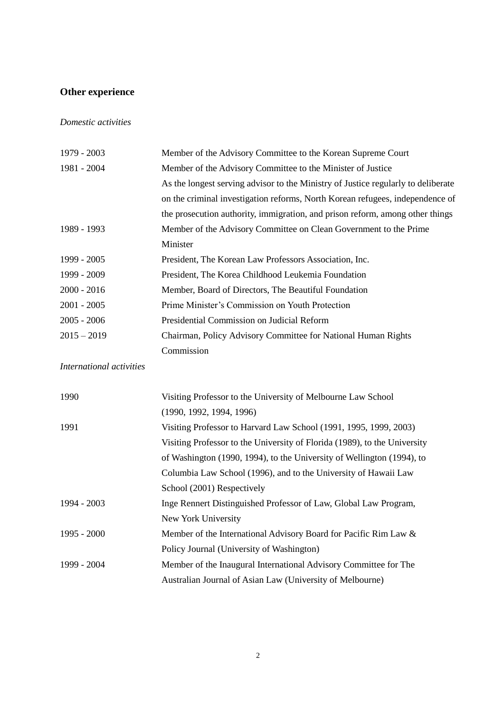# **Other experience**

#### *Domestic activities*

| 1979 - 2003   | Member of the Advisory Committee to the Korean Supreme Court                      |
|---------------|-----------------------------------------------------------------------------------|
| 1981 - 2004   | Member of the Advisory Committee to the Minister of Justice                       |
|               | As the longest serving advisor to the Ministry of Justice regularly to deliberate |
|               | on the criminal investigation reforms, North Korean refugees, independence of     |
|               | the prosecution authority, immigration, and prison reform, among other things     |
| 1989 - 1993   | Member of the Advisory Committee on Clean Government to the Prime                 |
|               | Minister                                                                          |
| 1999 - 2005   | President, The Korean Law Professors Association, Inc.                            |
| 1999 - 2009   | President, The Korea Childhood Leukemia Foundation                                |
| $2000 - 2016$ | Member, Board of Directors, The Beautiful Foundation                              |
| $2001 - 2005$ | Prime Minister's Commission on Youth Protection                                   |
| $2005 - 2006$ | Presidential Commission on Judicial Reform                                        |
| $2015 - 2019$ | Chairman, Policy Advisory Committee for National Human Rights                     |
|               | Commission                                                                        |
|               |                                                                                   |

*International activities*

| 1990          | Visiting Professor to the University of Melbourne Law School              |
|---------------|---------------------------------------------------------------------------|
|               | (1990, 1992, 1994, 1996)                                                  |
| 1991          | Visiting Professor to Harvard Law School (1991, 1995, 1999, 2003)         |
|               | Visiting Professor to the University of Florida (1989), to the University |
|               | of Washington (1990, 1994), to the University of Wellington (1994), to    |
|               | Columbia Law School (1996), and to the University of Hawaii Law           |
|               | School (2001) Respectively                                                |
| 1994 - 2003   | Inge Rennert Distinguished Professor of Law, Global Law Program,          |
|               | New York University                                                       |
| $1995 - 2000$ | Member of the International Advisory Board for Pacific Rim Law &          |
|               | Policy Journal (University of Washington)                                 |
| 1999 - 2004   | Member of the Inaugural International Advisory Committee for The          |
|               | Australian Journal of Asian Law (University of Melbourne)                 |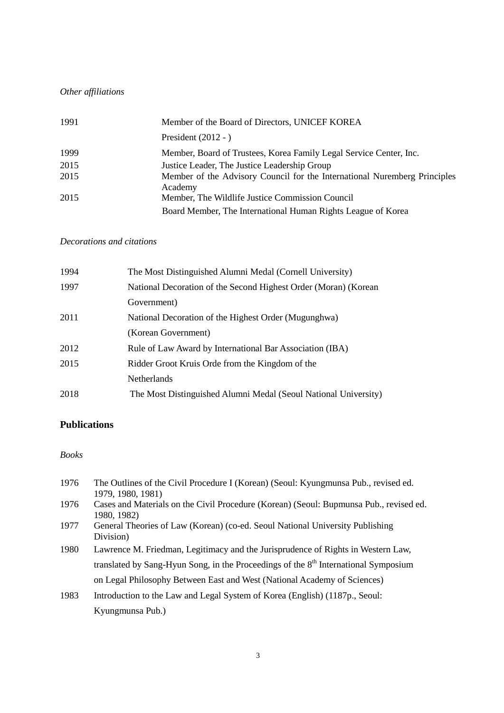# *Other affiliations*

| 1991 | Member of the Board of Directors, UNICEF KOREA                                                                  |
|------|-----------------------------------------------------------------------------------------------------------------|
|      | President $(2012 - )$                                                                                           |
| 1999 | Member, Board of Trustees, Korea Family Legal Service Center, Inc.                                              |
| 2015 | Justice Leader, The Justice Leadership Group                                                                    |
| 2015 | Member of the Advisory Council for the International Nuremberg Principles<br>Academy                            |
| 2015 | Member, The Wildlife Justice Commission Council<br>Board Member, The International Human Rights League of Korea |
|      |                                                                                                                 |

#### *Decorations and citations*

| 1994 | The Most Distinguished Alumni Medal (Cornell University)        |
|------|-----------------------------------------------------------------|
| 1997 | National Decoration of the Second Highest Order (Moran) (Korean |
|      | Government)                                                     |
| 2011 | National Decoration of the Highest Order (Mugunghwa)            |
|      | (Korean Government)                                             |
| 2012 | Rule of Law Award by International Bar Association (IBA)        |
| 2015 | Ridder Groot Kruis Orde from the Kingdom of the                 |
|      | <b>Netherlands</b>                                              |
| 2018 | The Most Distinguished Alumni Medal (Seoul National University) |

#### **Publications**

#### *Books*

| 1976 | The Outlines of the Civil Procedure I (Korean) (Seoul: Kyungmunsa Pub., revised ed.<br>1979, 1980, 1981) |
|------|----------------------------------------------------------------------------------------------------------|
| 1976 | Cases and Materials on the Civil Procedure (Korean) (Seoul: Bupmunsa Pub., revised ed.<br>1980, 1982)    |
| 1977 | General Theories of Law (Korean) (co-ed. Seoul National University Publishing<br>Division)               |
| 1980 | Lawrence M. Friedman, Legitimacy and the Jurisprudence of Rights in Western Law,                         |
|      | translated by Sang-Hyun Song, in the Proceedings of the 8 <sup>th</sup> International Symposium          |
|      | on Legal Philosophy Between East and West (National Academy of Sciences)                                 |
| 1983 | Introduction to the Law and Legal System of Korea (English) (1187p., Seoul:                              |
|      | Kyungmunsa Pub.)                                                                                         |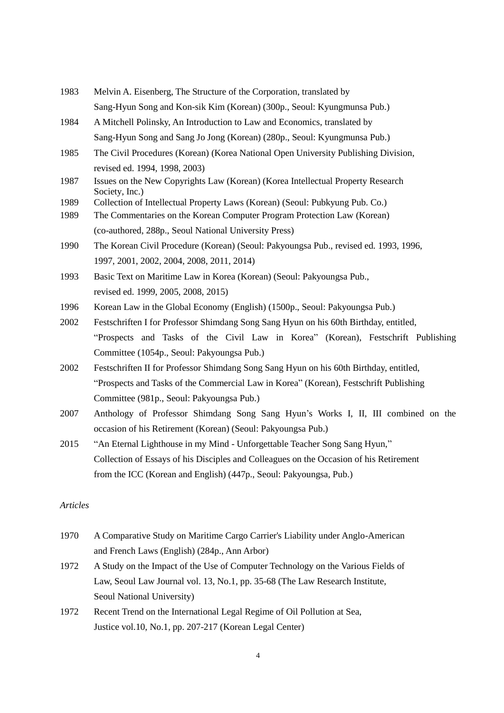- 1983 Melvin A. Eisenberg, The Structure of the Corporation, translated by Sang-Hyun Song and Kon-sik Kim (Korean) (300p., Seoul: Kyungmunsa Pub.)
- 1984 A Mitchell Polinsky, An Introduction to Law and Economics, translated by Sang-Hyun Song and Sang Jo Jong (Korean) (280p., Seoul: Kyungmunsa Pub.)
- 1985 The Civil Procedures (Korean) (Korea National Open University Publishing Division, revised ed. 1994, 1998, 2003)
- 1987 Issues on the New Copyrights Law (Korean) (Korea Intellectual Property Research Society, Inc.)
- 1989 Collection of Intellectual Property Laws (Korean) (Seoul: Pubkyung Pub. Co.)
- 1989 The Commentaries on the Korean Computer Program Protection Law (Korean) (co-authored, 288p., Seoul National University Press)
- 1990 The Korean Civil Procedure (Korean) (Seoul: Pakyoungsa Pub., revised ed. 1993, 1996, 1997, 2001, 2002, 2004, 2008, 2011, 2014)
- 1993 Basic Text on Maritime Law in Korea (Korean) (Seoul: Pakyoungsa Pub., revised ed. 1999, 2005, 2008, 2015)
- 1996 Korean Law in the Global Economy (English) (1500p., Seoul: Pakyoungsa Pub.)
- 2002 Festschriften I for Professor Shimdang Song Sang Hyun on his 60th Birthday, entitled, "Prospects and Tasks of the Civil Law in Korea" (Korean), Festschrift Publishing Committee (1054p., Seoul: Pakyoungsa Pub.)
- 2002 Festschriften II for Professor Shimdang Song Sang Hyun on his 60th Birthday, entitled, "Prospects and Tasks of the Commercial Law in Korea" (Korean), Festschrift Publishing Committee (981p., Seoul: Pakyoungsa Pub.)
- 2007 Anthology of Professor Shimdang Song Sang Hyun's Works I, II, III combined on the occasion of his Retirement (Korean) (Seoul: Pakyoungsa Pub.)
- 2015 "An Eternal Lighthouse in my Mind Unforgettable Teacher Song Sang Hyun," Collection of Essays of his Disciples and Colleagues on the Occasion of his Retirement from the ICC (Korean and English) (447p., Seoul: Pakyoungsa, Pub.)

#### *Articles*

- 1970 A Comparative Study on Maritime Cargo Carrier's Liability under Anglo-American and French Laws (English) (284p., Ann Arbor)
- 1972 A Study on the Impact of the Use of Computer Technology on the Various Fields of Law, Seoul Law Journal vol. 13, No.1, pp. 35-68 (The Law Research Institute, Seoul National University)
- 1972 Recent Trend on the International Legal Regime of Oil Pollution at Sea, Justice vol.10, No.1, pp. 207-217 (Korean Legal Center)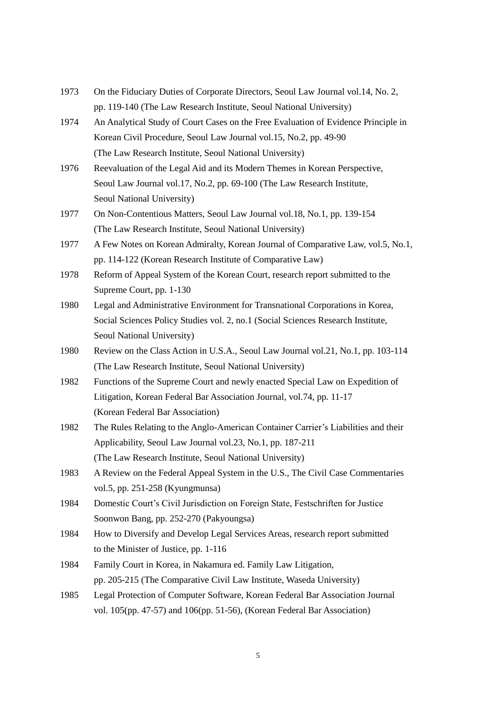- 1973 On the Fiduciary Duties of Corporate Directors, Seoul Law Journal vol.14, No. 2, pp. 119-140 (The Law Research Institute, Seoul National University)
- 1974 An Analytical Study of Court Cases on the Free Evaluation of Evidence Principle in Korean Civil Procedure, Seoul Law Journal vol.15, No.2, pp. 49-90 (The Law Research Institute, Seoul National University)
- 1976 Reevaluation of the Legal Aid and its Modern Themes in Korean Perspective, Seoul Law Journal vol.17, No.2, pp. 69-100 (The Law Research Institute, Seoul National University)
- 1977 On Non-Contentious Matters, Seoul Law Journal vol.18, No.1, pp. 139-154 (The Law Research Institute, Seoul National University)
- 1977 A Few Notes on Korean Admiralty, Korean Journal of Comparative Law, vol.5, No.1, pp. 114-122 (Korean Research Institute of Comparative Law)
- 1978 Reform of Appeal System of the Korean Court, research report submitted to the Supreme Court, pp. 1-130
- 1980 Legal and Administrative Environment for Transnational Corporations in Korea, Social Sciences Policy Studies vol. 2, no.1 (Social Sciences Research Institute, Seoul National University)
- 1980 Review on the Class Action in U.S.A., Seoul Law Journal vol.21, No.1, pp. 103-114 (The Law Research Institute, Seoul National University)
- 1982 Functions of the Supreme Court and newly enacted Special Law on Expedition of Litigation, Korean Federal Bar Association Journal, vol.74, pp. 11-17 (Korean Federal Bar Association)
- 1982 The Rules Relating to the Anglo-American Container Carrier's Liabilities and their Applicability, Seoul Law Journal vol.23, No.1, pp. 187-211 (The Law Research Institute, Seoul National University)
- 1983 A Review on the Federal Appeal System in the U.S., The Civil Case Commentaries vol.5, pp. 251-258 (Kyungmunsa)
- 1984 Domestic Court's Civil Jurisdiction on Foreign State, Festschriften for Justice Soonwon Bang, pp. 252-270 (Pakyoungsa)
- 1984 How to Diversify and Develop Legal Services Areas, research report submitted to the Minister of Justice, pp. 1-116
- 1984 Family Court in Korea, in Nakamura ed. Family Law Litigation, pp. 205-215 (The Comparative Civil Law Institute, Waseda University)
- 1985 Legal Protection of Computer Software, Korean Federal Bar Association Journal vol. 105(pp. 47-57) and 106(pp. 51-56), (Korean Federal Bar Association)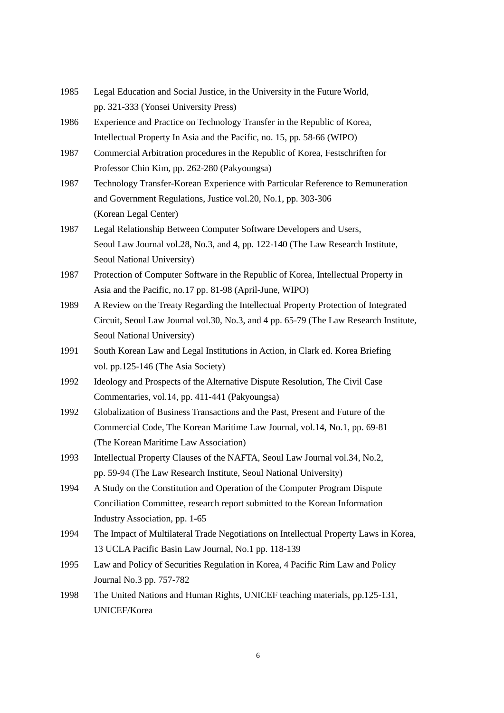- 1985 Legal Education and Social Justice, in the University in the Future World, pp. 321-333 (Yonsei University Press)
- 1986 Experience and Practice on Technology Transfer in the Republic of Korea, Intellectual Property In Asia and the Pacific, no. 15, pp. 58-66 (WIPO)
- 1987 Commercial Arbitration procedures in the Republic of Korea, Festschriften for Professor Chin Kim, pp. 262-280 (Pakyoungsa)
- 1987 Technology Transfer-Korean Experience with Particular Reference to Remuneration and Government Regulations, Justice vol.20, No.1, pp. 303-306 (Korean Legal Center)
- 1987 Legal Relationship Between Computer Software Developers and Users, Seoul Law Journal vol.28, No.3, and 4, pp. 122-140 (The Law Research Institute, Seoul National University)
- 1987 Protection of Computer Software in the Republic of Korea, Intellectual Property in Asia and the Pacific, no.17 pp. 81-98 (April-June, WIPO)
- 1989 A Review on the Treaty Regarding the Intellectual Property Protection of Integrated Circuit, Seoul Law Journal vol.30, No.3, and 4 pp. 65-79 (The Law Research Institute, Seoul National University)
- 1991 South Korean Law and Legal Institutions in Action, in Clark ed. Korea Briefing vol. pp.125-146 (The Asia Society)
- 1992 Ideology and Prospects of the Alternative Dispute Resolution, The Civil Case Commentaries, vol.14, pp. 411-441 (Pakyoungsa)
- 1992 Globalization of Business Transactions and the Past, Present and Future of the Commercial Code, The Korean Maritime Law Journal, vol.14, No.1, pp. 69-81 (The Korean Maritime Law Association)
- 1993 Intellectual Property Clauses of the NAFTA, Seoul Law Journal vol.34, No.2, pp. 59-94 (The Law Research Institute, Seoul National University)
- 1994 A Study on the Constitution and Operation of the Computer Program Dispute Conciliation Committee, research report submitted to the Korean Information Industry Association, pp. 1-65
- 1994 The Impact of Multilateral Trade Negotiations on Intellectual Property Laws in Korea, 13 UCLA Pacific Basin Law Journal, No.1 pp. 118-139
- 1995 Law and Policy of Securities Regulation in Korea, 4 Pacific Rim Law and Policy Journal No.3 pp. 757-782
- 1998 The United Nations and Human Rights, UNICEF teaching materials, pp.125-131, UNICEF/Korea